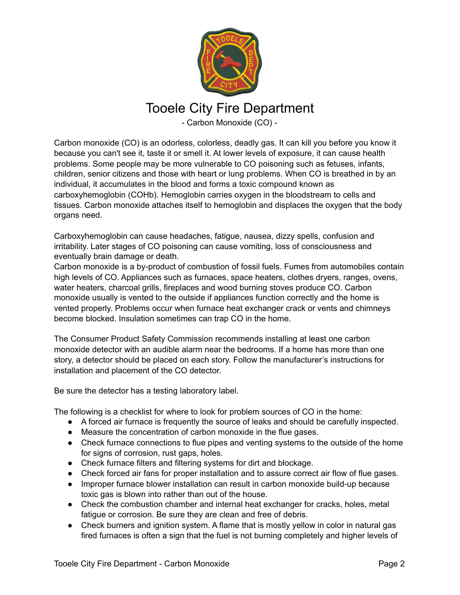

## Tooele City Fire Department

- Carbon Monoxide (CO) -

Carbon monoxide (CO) is an odorless, colorless, deadly gas. It can kill you before you know it because you can't see it, taste it or smell it. At lower levels of exposure, it can cause health problems. Some people may be more vulnerable to CO poisoning such as fetuses, infants, children, senior citizens and those with heart or lung problems. When CO is breathed in by an individual, it accumulates in the blood and forms a toxic compound known as carboxyhemoglobin (COHb). Hemoglobin carries oxygen in the bloodstream to cells and tissues. Carbon monoxide attaches itself to hemoglobin and displaces the oxygen that the body organs need.

Carboxyhemoglobin can cause headaches, fatigue, nausea, dizzy spells, confusion and irritability. Later stages of CO poisoning can cause vomiting, loss of consciousness and eventually brain damage or death.

Carbon monoxide is a by-product of combustion of fossil fuels. Fumes from automobiles contain high levels of CO. Appliances such as furnaces, space heaters, clothes dryers, ranges, ovens, water heaters, charcoal grills, fireplaces and wood burning stoves produce CO. Carbon monoxide usually is vented to the outside if appliances function correctly and the home is vented properly. Problems occur when furnace heat exchanger crack or vents and chimneys become blocked. Insulation sometimes can trap CO in the home.

The Consumer Product Safety Commission recommends installing at least one carbon monoxide detector with an audible alarm near the bedrooms. If a home has more than one story, a detector should be placed on each story. Follow the manufacturer's instructions for installation and placement of the CO detector.

Be sure the detector has a testing laboratory label.

The following is a checklist for where to look for problem sources of CO in the home:

- A forced air furnace is frequently the source of leaks and should be carefully inspected.
- Measure the concentration of carbon monoxide in the flue gases.
- Check furnace connections to flue pipes and venting systems to the outside of the home for signs of corrosion, rust gaps, holes.
- Check furnace filters and filtering systems for dirt and blockage.
- Check forced air fans for proper installation and to assure correct air flow of flue gases.
- Improper furnace blower installation can result in carbon monoxide build-up because toxic gas is blown into rather than out of the house.
- Check the combustion chamber and internal heat exchanger for cracks, holes, metal fatigue or corrosion. Be sure they are clean and free of debris.
- Check burners and ignition system. A flame that is mostly yellow in color in natural gas fired furnaces is often a sign that the fuel is not burning completely and higher levels of